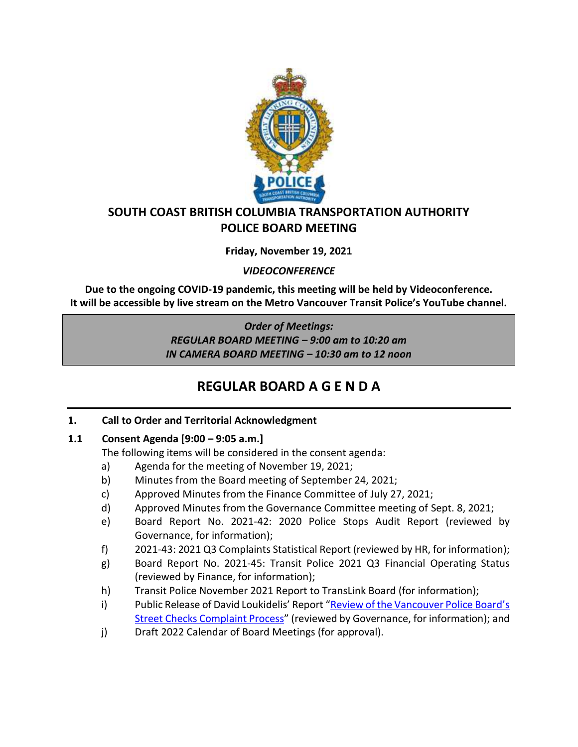

## **SOUTH COAST BRITISH COLUMBIA TRANSPORTATION AUTHORITY POLICE BOARD MEETING**

**Friday, November 19, 2021**

*VIDEOCONFERENCE*

**Due to the ongoing COVID-19 pandemic, this meeting will be held by Videoconference. It will be accessible by live stream on the Metro Vancouver Transit Police's YouTube channel.**

> *Order of Meetings: REGULAR BOARD MEETING – 9:00 am to 10:20 am IN CAMERA BOARD MEETING – 10:30 am to 12 noon*

# **REGULAR BOARD A G E N D A**

**1. Call to Order and Territorial Acknowledgment** 

## **1.1 Consent Agenda [9:00 – 9:05 a.m.]**

The following items will be considered in the consent agenda:

- a) Agenda for the meeting of November 19, 2021;
- b) Minutes from the Board meeting of September 24, 2021;
- c) Approved Minutes from the Finance Committee of July 27, 2021;
- d) Approved Minutes from the Governance Committee meeting of Sept. 8, 2021;
- e) Board Report No. 2021-42: 2020 Police Stops Audit Report (reviewed by Governance, for information);
- f) 2021-43: 2021 Q3 Complaints Statistical Report (reviewed by HR, for information);
- g) Board Report No. 2021-45: Transit Police 2021 Q3 Financial Operating Status (reviewed by Finance, for information);
- h) Transit Police November 2021 Report to TransLink Board (for information);
- i) Public Release of David Loukidelis' Report ["Review of the Vancouver Police Board's](https://www2.gov.bc.ca/gov/content/justice/criminal-justice/policing-in-bc/publications-statistics-legislation/publications/independent-reports)  [Street Checks Complaint Process](https://www2.gov.bc.ca/gov/content/justice/criminal-justice/policing-in-bc/publications-statistics-legislation/publications/independent-reports)" (reviewed by Governance, for information); and
- j) Draft 2022 Calendar of Board Meetings (for approval).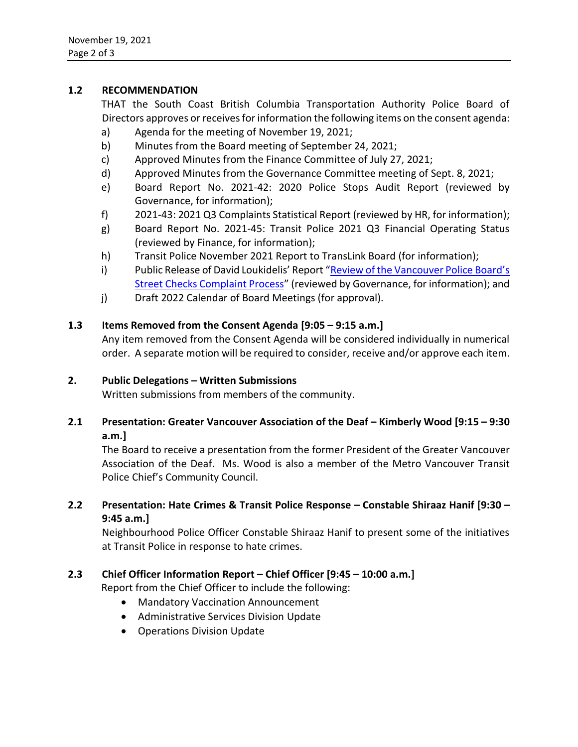## **1.2 RECOMMENDATION**

THAT the South Coast British Columbia Transportation Authority Police Board of Directors approves or receives for information the following items on the consent agenda:

- a) Agenda for the meeting of November 19, 2021;
- b) Minutes from the Board meeting of September 24, 2021;
- c) Approved Minutes from the Finance Committee of July 27, 2021;
- d) Approved Minutes from the Governance Committee meeting of Sept. 8, 2021;
- e) Board Report No. 2021-42: 2020 Police Stops Audit Report (reviewed by Governance, for information);
- f) 2021-43: 2021 Q3 Complaints Statistical Report (reviewed by HR, for information);
- g) Board Report No. 2021-45: Transit Police 2021 Q3 Financial Operating Status (reviewed by Finance, for information);
- h) Transit Police November 2021 Report to TransLink Board (for information);
- i) Public Release of David Loukidelis' Report ["Review of the Vancouver Police Board's](https://www2.gov.bc.ca/gov/content/justice/criminal-justice/policing-in-bc/publications-statistics-legislation/publications/independent-reports)  [Street Checks Complaint Process](https://www2.gov.bc.ca/gov/content/justice/criminal-justice/policing-in-bc/publications-statistics-legislation/publications/independent-reports)" (reviewed by Governance, for information); and
- j) Draft 2022 Calendar of Board Meetings (for approval).

## **1.3 Items Removed from the Consent Agenda [9:05 – 9:15 a.m.]**

Any item removed from the Consent Agenda will be considered individually in numerical order. A separate motion will be required to consider, receive and/or approve each item.

### **2. Public Delegations – Written Submissions**

Written submissions from members of the community.

## **2.1 Presentation: Greater Vancouver Association of the Deaf – Kimberly Wood [9:15 – 9:30 a.m.]**

The Board to receive a presentation from the former President of the Greater Vancouver Association of the Deaf. Ms. Wood is also a member of the Metro Vancouver Transit Police Chief's Community Council.

## **2.2 Presentation: Hate Crimes & Transit Police Response – Constable Shiraaz Hanif [9:30 – 9:45 a.m.]**

Neighbourhood Police Officer Constable Shiraaz Hanif to present some of the initiatives at Transit Police in response to hate crimes.

## **2.3 Chief Officer Information Report – Chief Officer [9:45 – 10:00 a.m.]**

Report from the Chief Officer to include the following:

- Mandatory Vaccination Announcement
- Administrative Services Division Update
- Operations Division Update